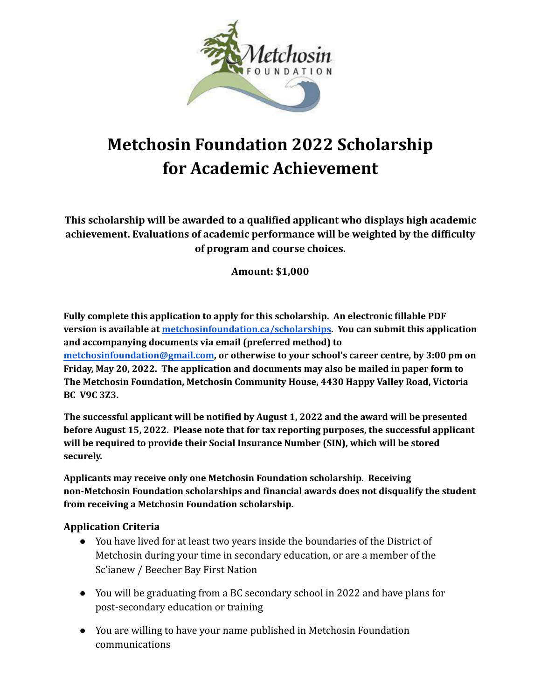

# **Metchosin Foundation 2022 Scholarship for Academic Achievement**

**This scholarship will be awarded to a qualified applicant who displays high academic achievement. Evaluations of academic performance will be weighted by the difficulty of program and course choices.**

**Amount: \$1,000**

**Example 12**<br>
McChosin Foundation 2022 Scholarship<br>
for Academic Achievement<br>
This scholarship will be awareled to a guadric Achievement<br>
This scholarship will be awareled to a guadric deriver observed by the districtive<br> **Fully complete this application to apply for this scholarship. An electronic fillable PDF version is available at [metchosinfoundation.ca/scholarships.](http://metchosinfoundation.ca/scholarships) You can submit this application and accompanying documents via email (preferred method) to [metchosinfoundation@gmail.com](mailto:metchosinfoundation@gmail.com), or otherwise to your school's career centre, by 3:00 pm on Friday, May 20, 2022. The application and documents may also be mailed in paper form to The Metchosin Foundation, Metchosin Community House, 4430 Happy Valley Road, Victoria BC V9C 3Z3.**

**The successful applicant will be notified by August 1, 2022 and the award will be presented before August 15, 2022. Please note that for tax reporting purposes, the successful applicant will be required to provide their Social Insurance Number (SIN), which will be stored securely.**

**Applicants may receive only one Metchosin Foundation scholarship. Receiving non-Metchosin Foundation scholarships and financial awards does not disqualify the student from receiving a Metchosin Foundation scholarship.**

## **Application Criteria**

- You have lived for at least two years inside the boundaries of the District of Metchosin during your time in secondary education, or are a member of the Sc'ianew / Beecher Bay First Nation
- You will be graduating from a BC secondary school in 2022 and have plans for post-secondary education or training
- You are willing to have your name published in Metchosin Foundation communications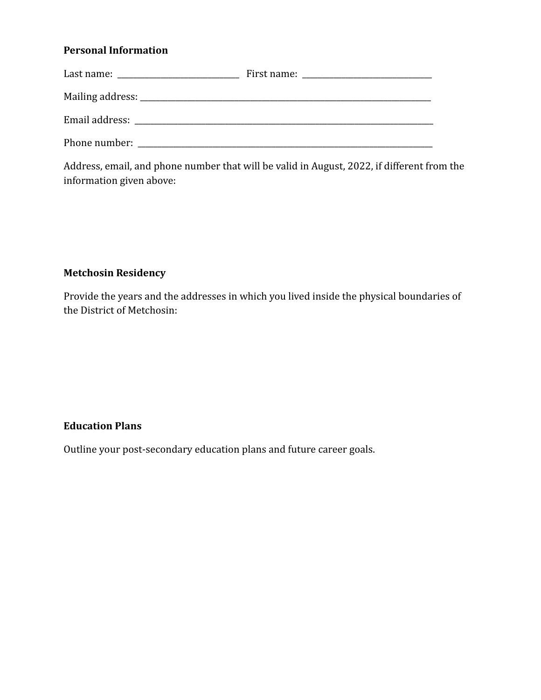## **Personal Information**

| information given above:   | Address, email, and phone number that will be valid in August, 2022, if different from the |
|----------------------------|--------------------------------------------------------------------------------------------|
| <b>Metchosin Residency</b> |                                                                                            |
| the District of Metchosin: | Provide the years and the addresses in which you lived inside the physical boundaries of   |
| <b>Education Plans</b>     |                                                                                            |
|                            | Outline your post-secondary education plans and future career goals.                       |
|                            |                                                                                            |
|                            |                                                                                            |
|                            |                                                                                            |
|                            |                                                                                            |

## **Metchosin Residency**

#### **Education Plans**